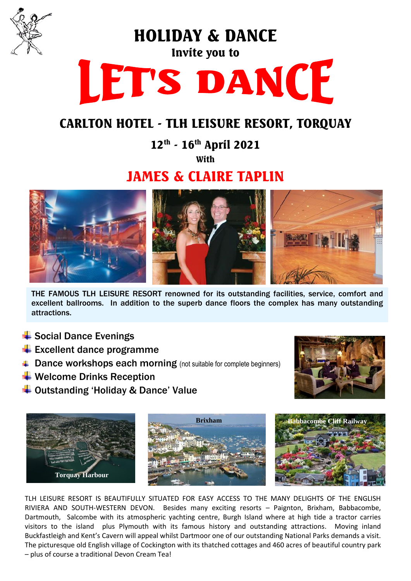

HOLIDAY & DANCE

# Invite you to LET'S DANCE

# CARLTON HOTEL - TLH LEISURE RESORT, TORQUAY

12<sup>th</sup> - 16<sup>th</sup> April 2021

**With** 

# JAMES & CLAIRE TAPLIN



THE FAMOUS TLH LEISURE RESORT renowned for its outstanding facilities, service, comfort and excellent ballrooms. In addition to the superb dance floors the complex has many outstanding attractions.

- $\ddot$  Social Dance Evenings
- $\bigstar$  Excellent dance programme
- **↓ Dance workshops each morning** (not suitable for complete beginners)
- $\bigstar$  Welcome Drinks Reception
- ↓ Outstanding 'Holiday & Dance' Value





TLH LEISURE RESORT IS BEAUTIFULLY SITUATED FOR EASY ACCESS TO THE MANY DELIGHTS OF THE ENGLISH RIVIERA AND SOUTH-WESTERN DEVON. Besides many exciting resorts – Paignton, Brixham, Babbacombe, Dartmouth, Salcombe with its atmospheric yachting centre, Burgh Island where at high tide a tractor carries visitors to the island plus Plymouth with its famous history and outstanding attractions. Moving inland Buckfastleigh and Kent's Cavern will appeal whilst Dartmoor one of our outstanding National Parks demands a visit. The picturesque old English village of Cockington with its thatched cottages and 460 acres of beautiful country park – plus of course a traditional Devon Cream Tea!